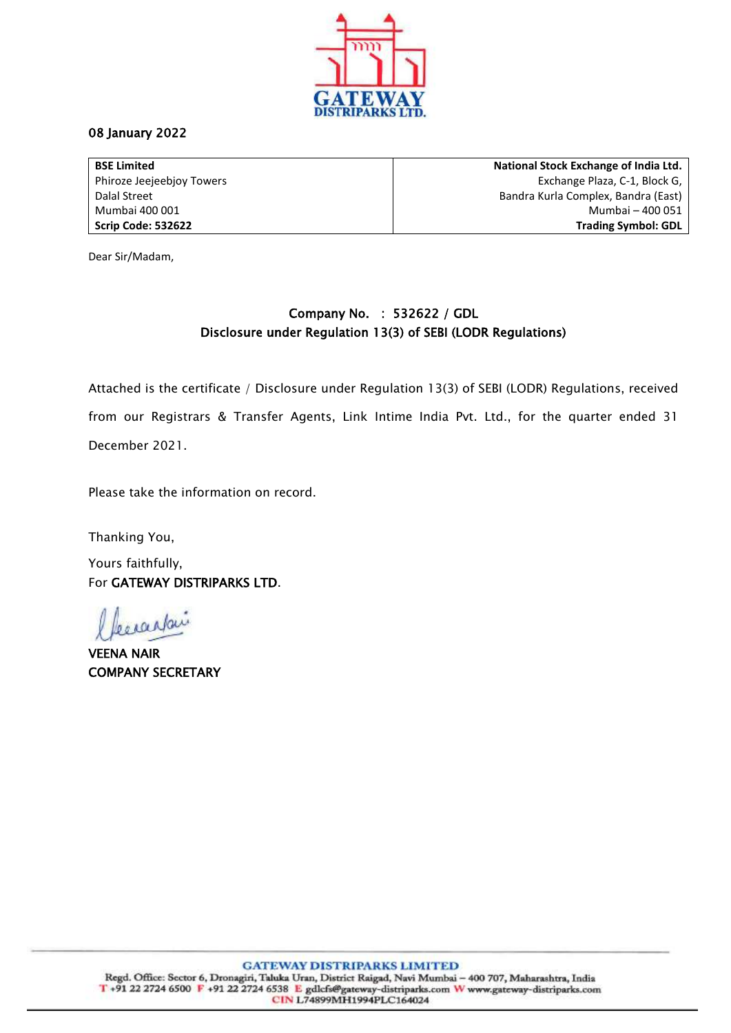

## 08 January 2022

**BSE Limited** Phiroze Jeejeebjoy Towers Dalal Street Mumbai 400 001 **Scrip Code: 532622**

**National Stock Exchange of India Ltd.** Exchange Plaza, C-1, Block G, Bandra Kurla Complex, Bandra (East) Mumbai – 400 051 **Trading Symbol: GDL**

Dear Sir/Madam,

## Company No. : 532622 / GDL Disclosure under Regulation 13(3) of SEBI (LODR Regulations)

Attached is the certificate / Disclosure under Regulation 13(3) of SEBI (LODR) Regulations, received from our Registrars & Transfer Agents, Link Intime India Pvt. Ltd., for the quarter ended 31 December 2021.

Please take the information on record.

Thanking You,

Yours faithfully, For GATEWAY DISTRIPARKS LTD.

popartai

VEENA NAIR COMPANY SECRETARY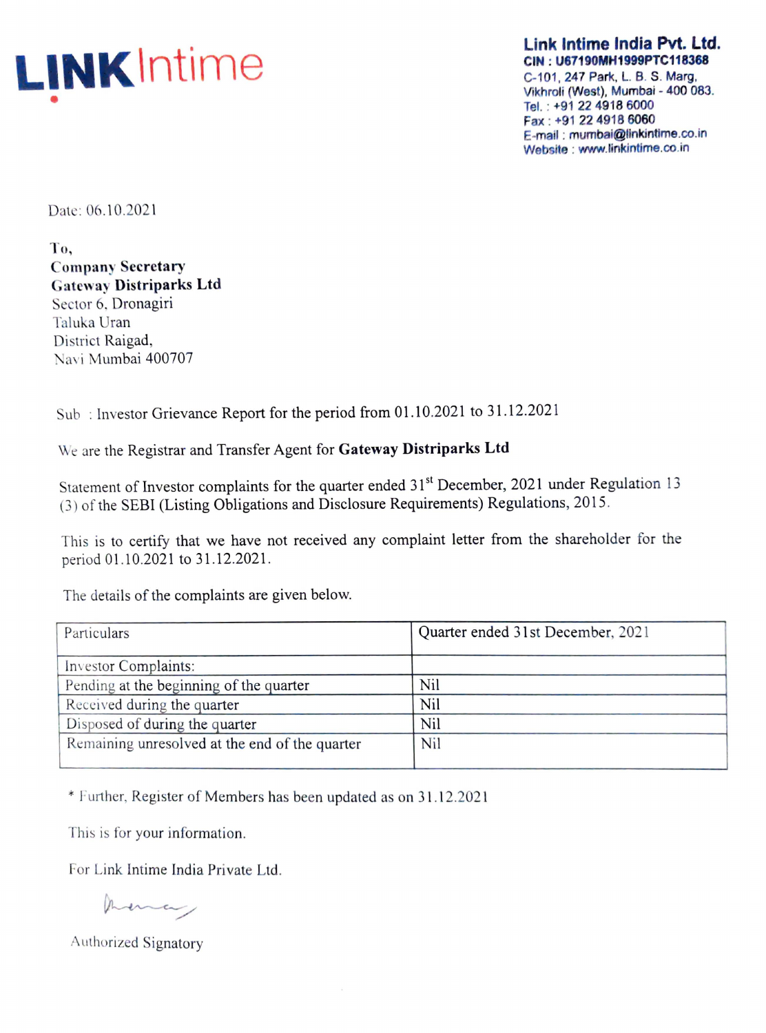

Link Intime India Pvt. Ltd. CIN : U67190MH1999PTC118368

C-101, 247 Park, L. B. S. Marg, Vikhroli (West), Mumbai - 400 083. Tel. : +91 224918 6000 Fax : +91 22 4918 6060 E-mail : mumbai@linkintime.co.in Website : www.linkintime.co.in

Date: 06.10.2021

To, **Company Secretary Gateway Distriparks Ltd** Sector 6, Dronagiri Taluka Uran District Raigad, Navi Mumbai 400707

Sub : Investor Grievance Report for the period from 01.10.2021 to 31.12.202 1

We are the Registrar and Transfer Agent for Gateway Distriparks Ltd

Statement of Investor complaints for the quarter ended 31<sup>st</sup> December, 2021 under Regulation 13 (3) of the SEBI (Listing Obligations and Disclosure Requirements) Regulations, 20 15.

This is to certify that we have not received any complaint letter from the shareholder for the period 01.10.2021 to 31.12.2021.

The details of the complaints are given below.

| Particulars                                    | Quarter ended 31st December, 2021 |
|------------------------------------------------|-----------------------------------|
| Investor Complaints:                           |                                   |
| Pending at the beginning of the quarter        | Nil                               |
| Received during the quarter                    | Nil                               |
| Disposed of during the quarter                 | Nil                               |
| Remaining unresolved at the end of the quarter | Nil                               |

\* Further, Register of Members has been updated as on 31.12.2021

This is for your information.

For Link lntime India Private Ltd.

mona

Authorized Signatory